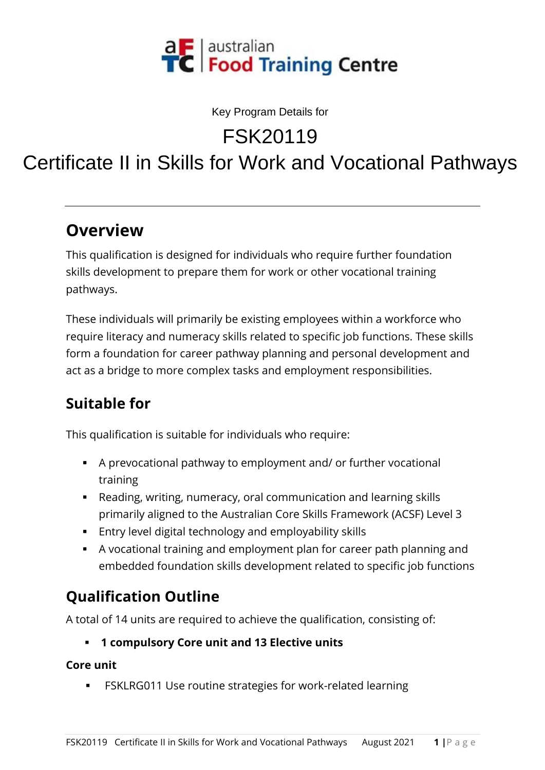

Key Program Details for

FSK20119

# Certificate II in Skills for Work and Vocational Pathways

#### **Overview**

This qualification is designed for individuals who require further foundation skills development to prepare them for work or other vocational training pathways.

These individuals will primarily be existing employees within a workforce who require literacy and numeracy skills related to specific job functions. These skills form a foundation for career pathway planning and personal development and act as a bridge to more complex tasks and employment responsibilities.

# **Suitable for**

This qualification is suitable for individuals who require:

- A prevocational pathway to employment and/ or further vocational training
- Reading, writing, numeracy, oral communication and learning skills primarily aligned to the Australian Core Skills Framework (ACSF) Level 3
- Entry level digital technology and employability skills
- A vocational training and employment plan for career path planning and embedded foundation skills development related to specific job functions

# **Qualification Outline**

A total of 14 units are required to achieve the qualification, consisting of:

▪ **1 compulsory Core unit and 13 Elective units**

#### **Core unit**

■ FSKLRG011 Use routine strategies for work-related learning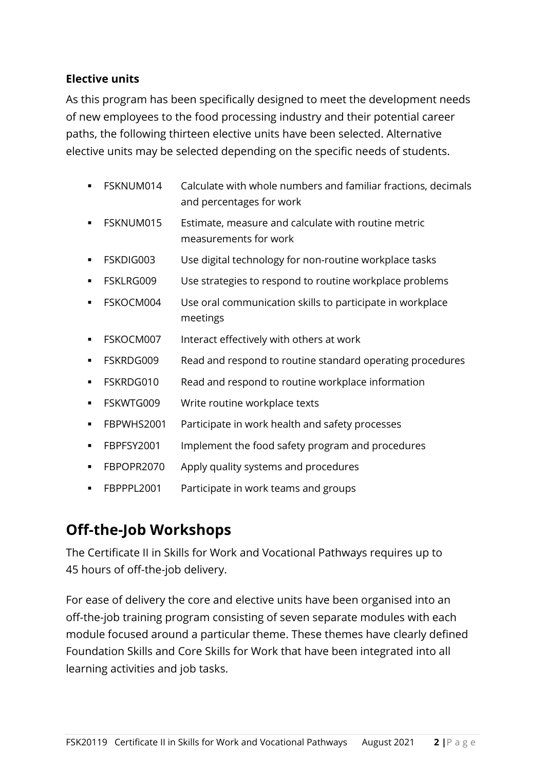#### **Elective units**

As this program has been specifically designed to meet the development needs of new employees to the food processing industry and their potential career paths, the following thirteen elective units have been selected. Alternative elective units may be selected depending on the specific needs of students.

- FSKNUM014 Calculate with whole numbers and familiar fractions, decimals and percentages for work
- FSKNUM015 Estimate, measure and calculate with routine metric measurements for work
- **FSKDIG003** Use digital technology for non-routine workplace tasks
- FSKLRG009 Use strategies to respond to routine workplace problems
- FSKOCM004 Use oral communication skills to participate in workplace meetings
- FSKOCM007 Interact effectively with others at work
- FSKRDG009 Read and respond to routine standard operating procedures
- FSKRDG010 Read and respond to routine workplace information
- FSKWTG009 Write routine workplace texts
- **EBPWHS2001** Participate in work health and safety processes
- FBPFSY2001 Implement the food safety program and procedures
- **FBPOPR2070** Apply quality systems and procedures
- **EBPPPL2001** Participate in work teams and groups

#### **Off-the-Job Workshops**

The Certificate II in Skills for Work and Vocational Pathways requires up to 45 hours of off-the-job delivery.

For ease of delivery the core and elective units have been organised into an off-the-job training program consisting of seven separate modules with each module focused around a particular theme. These themes have clearly defined Foundation Skills and Core Skills for Work that have been integrated into all learning activities and job tasks.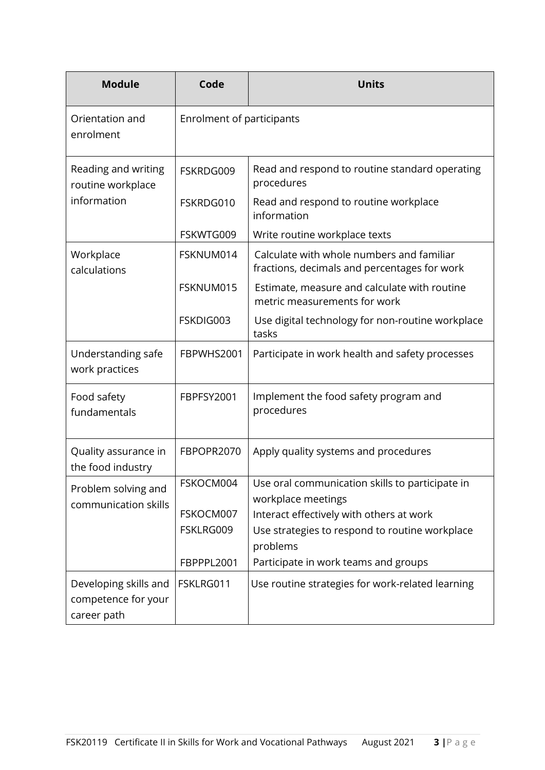| <b>Module</b>                                               | Code                      | <b>Units</b>                                                                              |
|-------------------------------------------------------------|---------------------------|-------------------------------------------------------------------------------------------|
| Orientation and<br>enrolment                                | Enrolment of participants |                                                                                           |
| Reading and writing<br>routine workplace<br>information     | FSKRDG009                 | Read and respond to routine standard operating<br>procedures                              |
|                                                             | FSKRDG010                 | Read and respond to routine workplace<br>information                                      |
|                                                             | FSKWTG009                 | Write routine workplace texts                                                             |
| Workplace<br>calculations                                   | FSKNUM014                 | Calculate with whole numbers and familiar<br>fractions, decimals and percentages for work |
|                                                             | FSKNUM015                 | Estimate, measure and calculate with routine<br>metric measurements for work              |
|                                                             | FSKDIG003                 | Use digital technology for non-routine workplace<br>tasks                                 |
| Understanding safe<br>work practices                        | FBPWHS2001                | Participate in work health and safety processes                                           |
| Food safety<br>fundamentals                                 | FBPFSY2001                | Implement the food safety program and<br>procedures                                       |
| Quality assurance in<br>the food industry                   | FBPOPR2070                | Apply quality systems and procedures                                                      |
| Problem solving and<br>communication skills                 | FSKOCM004                 | Use oral communication skills to participate in<br>workplace meetings                     |
|                                                             | FSKOCM007                 | Interact effectively with others at work                                                  |
|                                                             | FSKLRG009                 | Use strategies to respond to routine workplace<br>problems                                |
|                                                             | FBPPPL2001                | Participate in work teams and groups                                                      |
| Developing skills and<br>competence for your<br>career path | FSKLRG011                 | Use routine strategies for work-related learning                                          |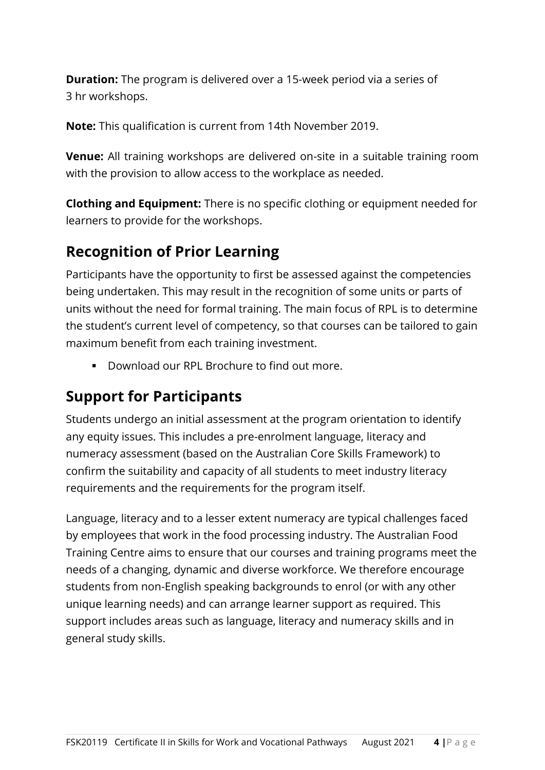**Duration:** The program is delivered over a 15-week period via a series of 3 hr workshops.

**Note:** This qualification is current from 14th November 2019.

**Venue:** All training workshops are delivered on-site in a suitable training room with the provision to allow access to the workplace as needed.

**Clothing and Equipment:** There is no specific clothing or equipment needed for learners to provide for the workshops.

### **Recognition of Prior Learning**

Participants have the opportunity to first be assessed against the competencies being undertaken. This may result in the recognition of some units or parts of units without the need for formal training. The main focus of RPL is to determine the student's current level of competency, so that courses can be tailored to gain maximum benefit from each training investment.

▪ Download our RPL Brochure to find out more.

### **Support for Participants**

Students undergo an initial assessment at the program orientation to identify any equity issues. This includes a pre-enrolment language, literacy and numeracy assessment (based on the Australian Core Skills Framework) to confirm the suitability and capacity of all students to meet industry literacy requirements and the requirements for the program itself.

Language, literacy and to a lesser extent numeracy are typical challenges faced by employees that work in the food processing industry. The Australian Food Training Centre aims to ensure that our courses and training programs meet the needs of a changing, dynamic and diverse workforce. We therefore encourage students from non-English speaking backgrounds to enrol (or with any other unique learning needs) and can arrange learner support as required. This support includes areas such as language, literacy and numeracy skills and in general study skills.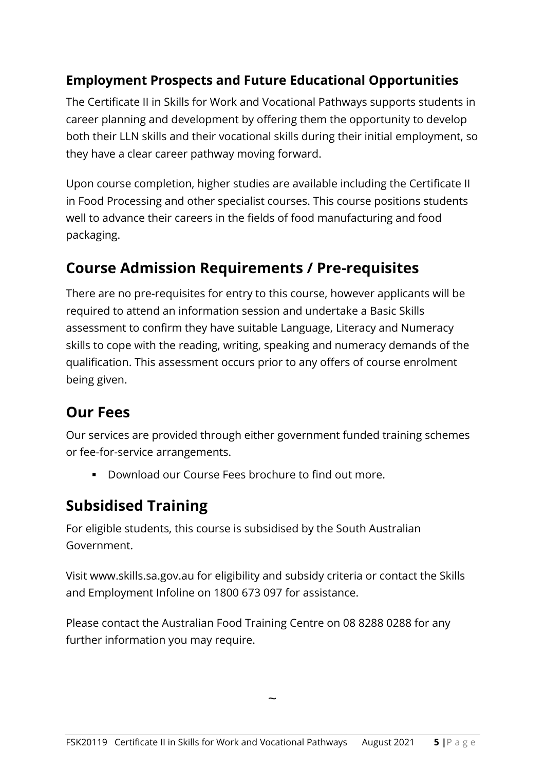#### **Employment Prospects and Future Educational Opportunities**

The Certificate II in Skills for Work and Vocational Pathways supports students in career planning and development by offering them the opportunity to develop both their LLN skills and their vocational skills during their initial employment, so they have a clear career pathway moving forward.

Upon course completion, higher studies are available including the Certificate II in Food Processing and other specialist courses. This course positions students well to advance their careers in the fields of food manufacturing and food packaging.

#### **Course Admission Requirements / Pre-requisites**

There are no pre-requisites for entry to this course, however applicants will be required to attend an information session and undertake a Basic Skills assessment to confirm they have suitable Language, Literacy and Numeracy skills to cope with the reading, writing, speaking and numeracy demands of the qualification. This assessment occurs prior to any offers of course enrolment being given.

#### **Our Fees**

Our services are provided through either government funded training schemes or fee-for-service arrangements.

▪ Download our Course Fees brochure to find out more.

# **Subsidised Training**

For eligible students, this course is subsidised by the South Australian Government.

Visit www.skills.sa.gov.au for eligibility and subsidy criteria or contact the Skills and Employment Infoline on 1800 673 097 for assistance.

Please contact the Australian Food Training Centre on 08 8288 0288 for any further information you may require.

 $\ddot{\phantom{0}}$